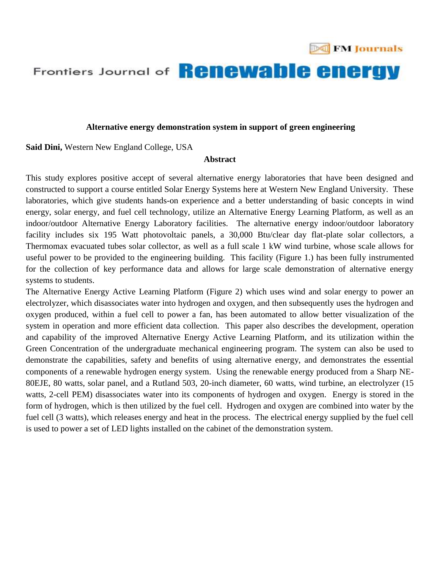

## Frontiers Journal of **Renewable energy**

## **Alternative energy demonstration system in support of green engineering**

**Said Dini,** Western New England College, USA

## **Abstract**

This study explores positive accept of several alternative energy laboratories that have been designed and constructed to support a course entitled Solar Energy Systems here at Western New England University. These laboratories, which give students hands-on experience and a better understanding of basic concepts in wind energy, solar energy, and fuel cell technology, utilize an Alternative Energy Learning Platform, as well as an indoor/outdoor Alternative Energy Laboratory facilities. The alternative energy indoor/outdoor laboratory facility includes six 195 Watt photovoltaic panels, a 30,000 Btu/clear day flat-plate solar collectors, a Thermomax evacuated tubes solar collector, as well as a full scale 1 kW wind turbine, whose scale allows for useful power to be provided to the engineering building. This facility (Figure 1.) has been fully instrumented for the collection of key performance data and allows for large scale demonstration of alternative energy systems to students.

The Alternative Energy Active Learning Platform (Figure 2) which uses wind and solar energy to power an electrolyzer, which disassociates water into hydrogen and oxygen, and then subsequently uses the hydrogen and oxygen produced, within a fuel cell to power a fan, has been automated to allow better visualization of the system in operation and more efficient data collection. This paper also describes the development, operation and capability of the improved Alternative Energy Active Learning Platform, and its utilization within the Green Concentration of the undergraduate mechanical engineering program. The system can also be used to demonstrate the capabilities, safety and benefits of using alternative energy, and demonstrates the essential components of a renewable hydrogen energy system. Using the renewable energy produced from a Sharp NE-80EJE, 80 watts, solar panel, and a Rutland 503, 20-inch diameter, 60 watts, wind turbine, an electrolyzer (15 watts, 2-cell PEM) disassociates water into its components of hydrogen and oxygen. Energy is stored in the form of hydrogen, which is then utilized by the fuel cell. Hydrogen and oxygen are combined into water by the fuel cell (3 watts), which releases energy and heat in the process. The electrical energy supplied by the fuel cell is used to power a set of LED lights installed on the cabinet of the demonstration system.